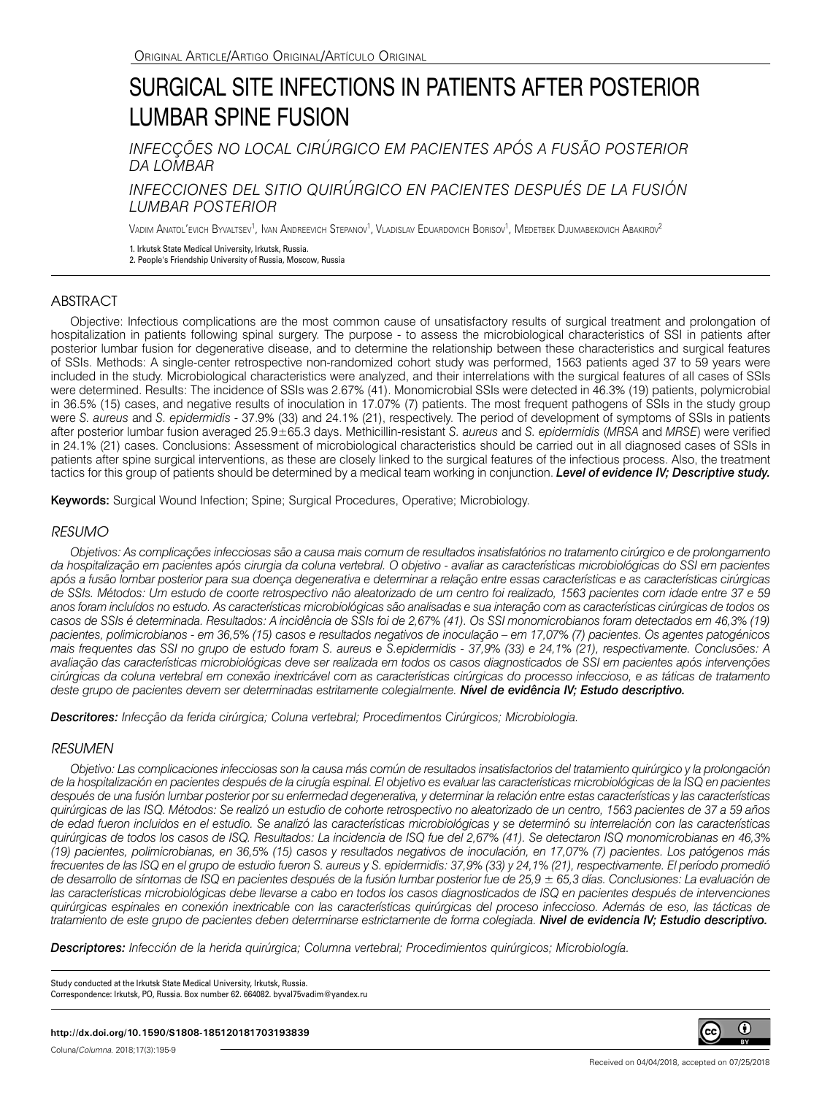# SURGICAL SITE INFECTIONS IN PATIENTS AFTER POSTERIOR LUMBAR SPINE FUSION

*INFECÇÕES NO LOCAL CIRÚRGICO EM PACIENTES APÓS A FUSÃO POSTERIOR DA LOMBAR*

*INFECCIONES DEL SITIO QUIRÚRGICO EN PACIENTES DESPUÉS DE LA FUSIÓN LUMBAR POSTERIOR*

Vadim Anatol'evich Byvaltsev<sup>1</sup>, Ivan Andreevich Stepanov<sup>1</sup>, Vladislav Eduardovich Borisov<sup>1</sup>, Medetbek Djumabekovich Abakirov<sup>2</sup>

1. Irkutsk State Medical University, Irkutsk, Russia.

2. People's Friendship University of Russia, Moscow, Russia

# ABSTRACT

Objective: Infectious complications are the most common cause of unsatisfactory results of surgical treatment and prolongation of hospitalization in patients following spinal surgery. The purpose - to assess the microbiological characteristics of SSI in patients after posterior lumbar fusion for degenerative disease, and to determine the relationship between these characteristics and surgical features of SSIs. Methods: A single-center retrospective non-randomized cohort study was performed, 1563 patients aged 37 to 59 years were included in the study. Microbiological characteristics were analyzed, and their interrelations with the surgical features of all cases of SSIs were determined. Results: The incidence of SSIs was 2.67% (41). Monomicrobial SSIs were detected in 46.3% (19) patients, polymicrobial in 36.5% (15) cases, and negative results of inoculation in 17.07% (7) patients. The most frequent pathogens of SSIs in the study group were *S. aureus* and *S. epidermidis* - 37.9% (33) and 24.1% (21), respectively. The period of development of symptoms of SSIs in patients after posterior lumbar fusion averaged 25.9±65.3 days. Methicillin-resistant *S. aureus* and *S. epidermidis* (*MRSA* and *MRSE*) were verified in 24.1% (21) cases. Conclusions: Assessment of microbiological characteristics should be carried out in all diagnosed cases of SSIs in patients after spine surgical interventions, as these are closely linked to the surgical features of the infectious process. Also, the treatment tactics for this group of patients should be determined by a medical team working in conjunction. *Level of evidence IV; Descriptive study.*

Keywords: Surgical Wound Infection; Spine; Surgical Procedures, Operative; Microbiology.

## *RESUMO*

*Objetivos: As complicações infecciosas são a causa mais comum de resultados insatisfatórios no tratamento cirúrgico e de prolongamento da hospitalização em pacientes após cirurgia da coluna vertebral. O objetivo - avaliar as características microbiológicas do SSI em pacientes após a fusão lombar posterior para sua doença degenerativa e determinar a relação entre essas características e as características cirúrgicas de SSIs. Métodos: Um estudo de coorte retrospectivo não aleatorizado de um centro foi realizado, 1563 pacientes com idade entre 37 e 59 anos foram incluídos no estudo. As características microbiológicas são analisadas e sua interação com as características cirúrgicas de todos os casos de SSIs é determinada. Resultados: A incidência de SSIs foi de 2,67% (41). Os SSI monomicrobianos foram detectados em 46,3% (19) pacientes, polimicrobianos - em 36,5% (15) casos e resultados negativos de inoculação – em 17,07% (7) pacientes. Os agentes patogénicos mais frequentes das SSI no grupo de estudo foram S. aureus e S.epidermidis - 37,9% (33) e 24,1% (21), respectivamente. Conclusões: A avaliação das características microbiológicas deve ser realizada em todos os casos diagnosticados de SSI em pacientes após intervenções cirúrgicas da coluna vertebral em conexão inextricável com as características cirúrgicas do processo infeccioso, e as táticas de tratamento deste grupo de pacientes devem ser determinadas estritamente colegialmente. Nível de evidência IV; Estudo descriptivo.*

*Descritores: Infecção da ferida cirúrgica; Coluna vertebral; Procedimentos Cirúrgicos; Microbiologia.*

### *RESUMEN*

*Objetivo: Las complicaciones infecciosas son la causa más común de resultados insatisfactorios del tratamiento quirúrgico y la prolongación*  de la hospitalización en pacientes después de la cirugía espinal. El objetivo es evaluar las características microbiológicas de la ISQ en pacientes *después de una fusión lumbar posterior por su enfermedad degenerativa, y determinar la relación entre estas características y las características quirúrgicas de las ISQ. Métodos: Se realizó un estudio de cohorte retrospectivo no aleatorizado de un centro, 1563 pacientes de 37 a 59 años de edad fueron incluidos en el estudio. Se analizó las características microbiológicas y se determinó su interrelación con las características quirúrgicas de todos los casos de ISQ. Resultados: La incidencia de ISQ fue del 2,67% (41). Se detectaron ISQ monomicrobianas en 46,3% (19) pacientes, polimicrobianas, en 36,5% (15) casos y resultados negativos de inoculación, en 17,07% (7) pacientes. Los patógenos más frecuentes de las ISQ en el grupo de estudio fueron S. aureus y S. epidermidis: 37,9% (33) y 24,1% (21), respectivamente. El período promedió de desarrollo de síntomas de ISQ en pacientes después de la fusión lumbar posterior fue de 25,9 ± 65,3 días. Conclusiones: La evaluación de*  las características microbiológicas debe llevarse a cabo en todos los casos diagnosticados de ISQ en pacientes después de intervenciones *quirúrgicas espinales en conexión inextricable con las características quirúrgicas del proceso infeccioso. Además de eso, las tácticas de tratamiento de este grupo de pacientes deben determinarse estrictamente de forma colegiada. Nivel de evidencia IV; Estudio descriptivo.*

*Descriptores: Infección de la herida quirúrgica; Columna vertebral; Procedimientos quirúrgicos; Microbiología.*

Study conducted at the Irkutsk State Medical University, Irkutsk, Russia. Correspondence: Irkutsk, PO, Russia. Box number 62. 664082. byval75vadim@yandex.ru

#### **http://dx.doi.org/10.1590/S1808-185120181703193839**

Coluna/*Columna*. 2018;17(3):195-9

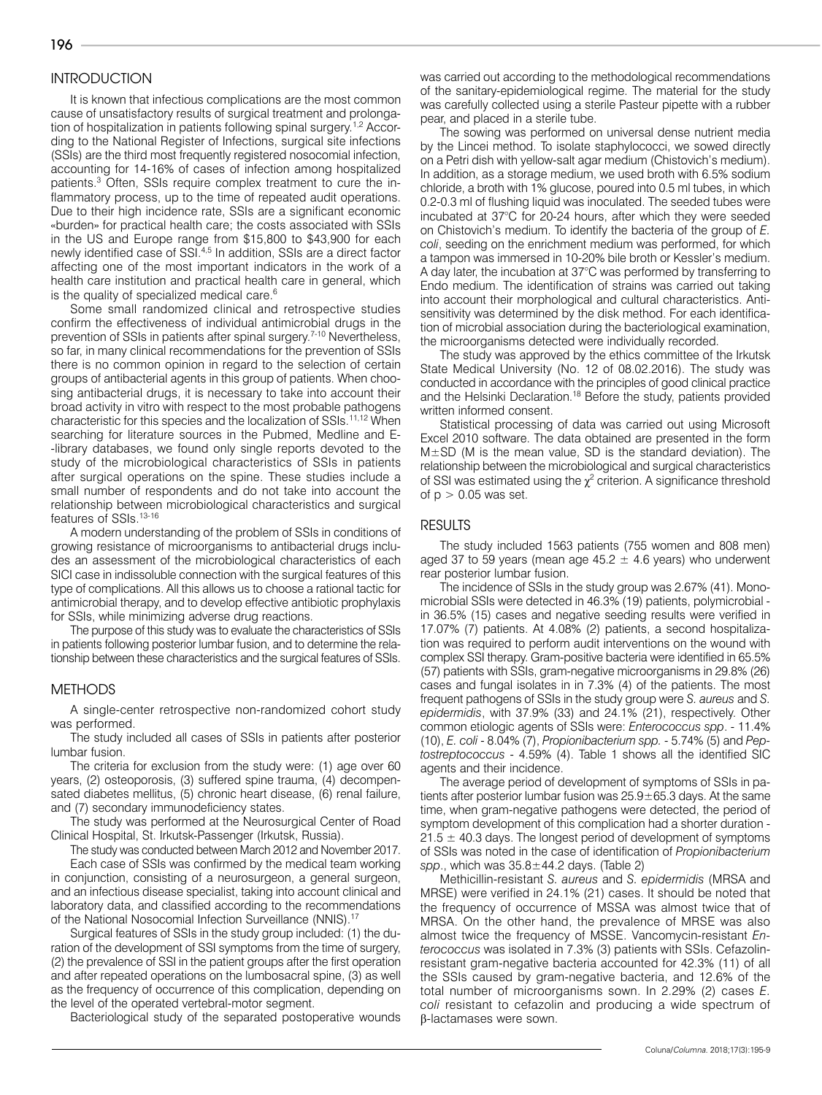## **INTRODUCTION**

It is known that infectious complications are the most common cause of unsatisfactory results of surgical treatment and prolongation of hospitalization in patients following spinal surgery.<sup>1,2</sup> According to the National Register of Infections, surgical site infections (SSIs) are the third most frequently registered nosocomial infection, accounting for 14-16% of cases of infection among hospitalized patients.<sup>3</sup> Often, SSIs require complex treatment to cure the inflammatory process, up to the time of repeated audit operations. Due to their high incidence rate, SSIs are a significant economic «burden» for practical health care; the costs associated with SSIs in the US and Europe range from \$15,800 to \$43,900 for each newly identified case of SSI.4,5 In addition, SSIs are a direct factor affecting one of the most important indicators in the work of a health care institution and practical health care in general, which is the quality of specialized medical care.<sup>6</sup>

Some small randomized clinical and retrospective studies confirm the effectiveness of individual antimicrobial drugs in the prevention of SSIs in patients after spinal surgery.<sup>7-10</sup> Nevertheless, so far, in many clinical recommendations for the prevention of SSIs there is no common opinion in regard to the selection of certain groups of antibacterial agents in this group of patients. When choosing antibacterial drugs, it is necessary to take into account their broad activity in vitro with respect to the most probable pathogens characteristic for this species and the localization of SSIs.<sup>11,12</sup> When searching for literature sources in the Pubmed, Medline and E- -library databases, we found only single reports devoted to the study of the microbiological characteristics of SSIs in patients after surgical operations on the spine. These studies include a small number of respondents and do not take into account the relationship between microbiological characteristics and surgical features of SSIs.<sup>13-16</sup>

A modern understanding of the problem of SSIs in conditions of growing resistance of microorganisms to antibacterial drugs includes an assessment of the microbiological characteristics of each SICI case in indissoluble connection with the surgical features of this type of complications. All this allows us to choose a rational tactic for antimicrobial therapy, and to develop effective antibiotic prophylaxis for SSIs, while minimizing adverse drug reactions.

The purpose of this study was to evaluate the characteristics of SSIs in patients following posterior lumbar fusion, and to determine the relationship between these characteristics and the surgical features of SSIs.

#### METHODS

A single-center retrospective non-randomized cohort study was performed.

The study included all cases of SSIs in patients after posterior lumbar fusion.

The criteria for exclusion from the study were: (1) age over 60 years, (2) osteoporosis, (3) suffered spine trauma, (4) decompensated diabetes mellitus, (5) chronic heart disease, (6) renal failure, and (7) secondary immunodeficiency states.

The study was performed at the Neurosurgical Center of Road Clinical Hospital, St. Irkutsk-Passenger (Irkutsk, Russia).

The study was conducted between March 2012 and November 2017.

Each case of SSIs was confirmed by the medical team working in conjunction, consisting of a neurosurgeon, a general surgeon, and an infectious disease specialist, taking into account clinical and laboratory data, and classified according to the recommendations of the National Nosocomial Infection Surveillance (NNIS).<sup>17</sup>

Surgical features of SSIs in the study group included: (1) the duration of the development of SSI symptoms from the time of surgery, (2) the prevalence of SSI in the patient groups after the first operation and after repeated operations on the lumbosacral spine, (3) as well as the frequency of occurrence of this complication, depending on the level of the operated vertebral-motor segment.

Bacteriological study of the separated postoperative wounds

was carried out according to the methodological recommendations of the sanitary-epidemiological regime. The material for the study was carefully collected using a sterile Pasteur pipette with a rubber pear, and placed in a sterile tube.

The sowing was performed on universal dense nutrient media by the Lincei method. To isolate staphylococci, we sowed directly on a Petri dish with yellow-salt agar medium (Chistovich's medium). In addition, as a storage medium, we used broth with 6.5% sodium chloride, a broth with 1% glucose, poured into 0.5 ml tubes, in which 0.2-0.3 ml of flushing liquid was inoculated. The seeded tubes were incubated at 37°C for 20-24 hours, after which they were seeded on Chistovich's medium. To identify the bacteria of the group of *E. coli*, seeding on the enrichment medium was performed, for which a tampon was immersed in 10-20% bile broth or Kessler's medium. A day later, the incubation at 37°C was performed by transferring to Endo medium. The identification of strains was carried out taking into account their morphological and cultural characteristics. Antisensitivity was determined by the disk method. For each identification of microbial association during the bacteriological examination, the microorganisms detected were individually recorded.

The study was approved by the ethics committee of the Irkutsk State Medical University (No. 12 of 08.02.2016). The study was conducted in accordance with the principles of good clinical practice and the Helsinki Declaration.<sup>18</sup> Before the study, patients provided written informed consent.

Statistical processing of data was carried out using Microsoft Excel 2010 software. The data obtained are presented in the form  $M\pm SD$  (M is the mean value, SD is the standard deviation). The relationship between the microbiological and surgical characteristics of SSI was estimated using the  $\chi^2$  criterion. A significance threshold of  $p > 0.05$  was set.

#### RESULTS

The study included 1563 patients (755 women and 808 men) aged 37 to 59 years (mean age 45.2  $\pm$  4.6 years) who underwent rear posterior lumbar fusion.

The incidence of SSIs in the study group was 2.67% (41). Monomicrobial SSIs were detected in 46.3% (19) patients, polymicrobial in 36.5% (15) cases and negative seeding results were verified in 17.07% (7) patients. At 4.08% (2) patients, a second hospitalization was required to perform audit interventions on the wound with complex SSI therapy. Gram-positive bacteria were identified in 65.5% (57) patients with SSIs, gram-negative microorganisms in 29.8% (26) cases and fungal isolates in in 7.3% (4) of the patients. The most frequent pathogens of SSIs in the study group were *S. aureus* and *S. epidermidis*, with 37.9% (33) and 24.1% (21), respectively. Other common etiologic agents of SSIs were: *Enterococcus spp*. - 11.4% (10), *E. coli* - 8.04% (7), *Propionibacterium spp.* - 5.74% (5) and *Peptostreptococcus* - 4.59% (4). Table 1 shows all the identified SIC agents and their incidence.

The average period of development of symptoms of SSIs in patients after posterior lumbar fusion was  $25.9 \pm 65.3$  days. At the same time, when gram-negative pathogens were detected, the period of symptom development of this complication had a shorter duration -  $21.5 \pm 40.3$  days. The longest period of development of symptoms of SSIs was noted in the case of identification of *Propionibacterium spp*., which was 35.8±44.2 days. (Table 2)

Methicillin-resistant *S. aureus* and *S. epidermidis* (MRSA and MRSE) were verified in 24.1% (21) cases. It should be noted that the frequency of occurrence of MSSA was almost twice that of MRSA. On the other hand, the prevalence of MRSE was also almost twice the frequency of MSSE. Vancomycin-resistant *Enterococcus* was isolated in 7.3% (3) patients with SSIs. Cefazolinresistant gram-negative bacteria accounted for 42.3% (11) of all the SSIs caused by gram-negative bacteria, and 12.6% of the total number of microorganisms sown. In 2.29% (2) cases *E. coli* resistant to cefazolin and producing a wide spectrum of β-lactamases were sown.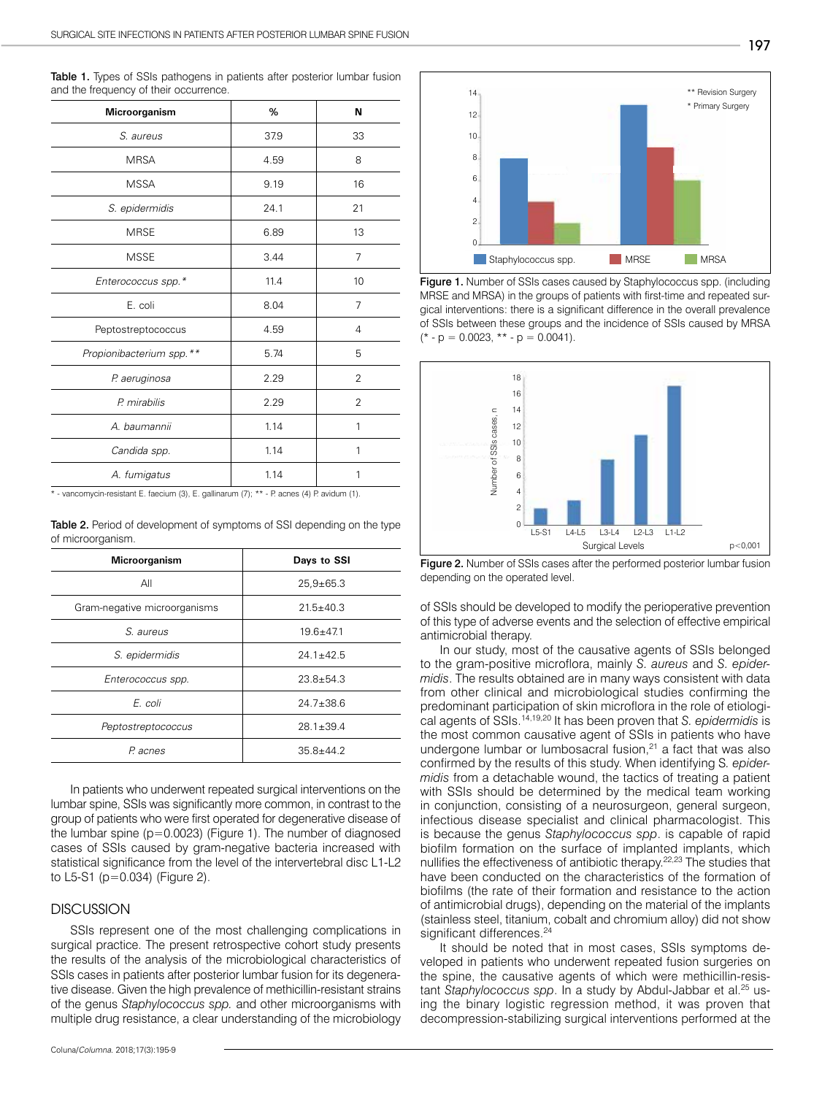| Microorganism             | %    | N              |
|---------------------------|------|----------------|
| S. aureus                 | 37.9 | 33             |
| <b>MRSA</b>               | 4.59 | 8              |
| <b>MSSA</b>               | 9.19 | 16             |
| S. epidermidis            | 24.1 | 21             |
| <b>MRSE</b>               | 6.89 | 13             |
| <b>MSSE</b>               | 3.44 | 7              |
| Enterococcus spp.*        | 11.4 | 10             |
| E. coli                   | 8.04 | 7              |
| Peptostreptococcus        | 4.59 | 4              |
| Propionibacterium spp. ** | 5.74 | 5              |
| P. aeruginosa             | 2.29 | 2              |
| P. mirabilis              | 2.29 | $\overline{2}$ |
| A. baumannii              | 1.14 | 1              |
| Candida spp.              | 1.14 | 1              |
| A. fumigatus              | 1.14 | 1              |

Table 1. Types of SSIs pathogens in patients after posterior lumbar fusion and the frequency of their occurrence.

\* - vancomycin-resistant E. faecium (3), E. gallinarum (7); \*\* - P. acnes (4) P. avidum (1).

Table 2. Period of development of symptoms of SSI depending on the type of microorganism.

| Microorganism                | Days to SSI     |  |
|------------------------------|-----------------|--|
| All                          | $25,9+65.3$     |  |
| Gram-negative microorganisms | $21.5 + 40.3$   |  |
| S. aureus                    | $19.6 + 47.1$   |  |
| S. epidermidis               | $24.1 + 42.5$   |  |
| Enterococcus spp.            | $23.8 + 54.3$   |  |
| E. coli                      | $24.7 + 38.6$   |  |
| Peptostreptococcus           | $28.1 \pm 39.4$ |  |
| P. acnes                     | $35.8 + 44.2$   |  |

In patients who underwent repeated surgical interventions on the lumbar spine, SSIs was significantly more common, in contrast to the group of patients who were first operated for degenerative disease of the lumbar spine (p=0.0023) (Figure 1). The number of diagnosed cases of SSIs caused by gram-negative bacteria increased with statistical significance from the level of the intervertebral disc L1-L2 to L5-S1 (p=0.034) (Figure 2).

#### **DISCUSSION**

SSIs represent one of the most challenging complications in surgical practice. The present retrospective cohort study presents the results of the analysis of the microbiological characteristics of SSIs cases in patients after posterior lumbar fusion for its degenerative disease. Given the high prevalence of methicillin-resistant strains of the genus *Staphylococcus spp.* and other microorganisms with multiple drug resistance, a clear understanding of the microbiology



Figure 1. Number of SSIs cases caused by Staphylococcus spp. (including MRSE and MRSA) in the groups of patients with first-time and repeated surgical interventions: there is a significant difference in the overall prevalence of SSIs between these groups and the incidence of SSIs caused by MRSA  $(* - p = 0.0023, ** - p = 0.0041).$ 



Figure 2. Number of SSIs cases after the performed posterior lumbar fusion depending on the operated level.

of SSIs should be developed to modify the perioperative prevention of this type of adverse events and the selection of effective empirical antimicrobial therapy.

In our study, most of the causative agents of SSIs belonged to the gram-positive microflora, mainly *S. aureus* and *S. epidermidis*. The results obtained are in many ways consistent with data from other clinical and microbiological studies confirming the predominant participation of skin microflora in the role of etiological agents of SSIs.14,19,20 It has been proven that *S. epidermidis* is the most common causative agent of SSIs in patients who have undergone lumbar or lumbosacral fusion, $21$  a fact that was also confirmed by the results of this study. When identifying S*. epidermidis* from a detachable wound, the tactics of treating a patient with SSIs should be determined by the medical team working in conjunction, consisting of a neurosurgeon, general surgeon, infectious disease specialist and clinical pharmacologist. This is because the genus *Staphylococcus spp*. is capable of rapid biofilm formation on the surface of implanted implants, which nullifies the effectiveness of antibiotic therapy.22,23 The studies that have been conducted on the characteristics of the formation of biofilms (the rate of their formation and resistance to the action of antimicrobial drugs), depending on the material of the implants (stainless steel, titanium, cobalt and chromium alloy) did not show significant differences.<sup>24</sup>

It should be noted that in most cases, SSIs symptoms developed in patients who underwent repeated fusion surgeries on the spine, the causative agents of which were methicillin-resistant *Staphylococcus spp*. In a study by Abdul-Jabbar et al.<sup>25</sup> using the binary logistic regression method, it was proven that decompression-stabilizing surgical interventions performed at the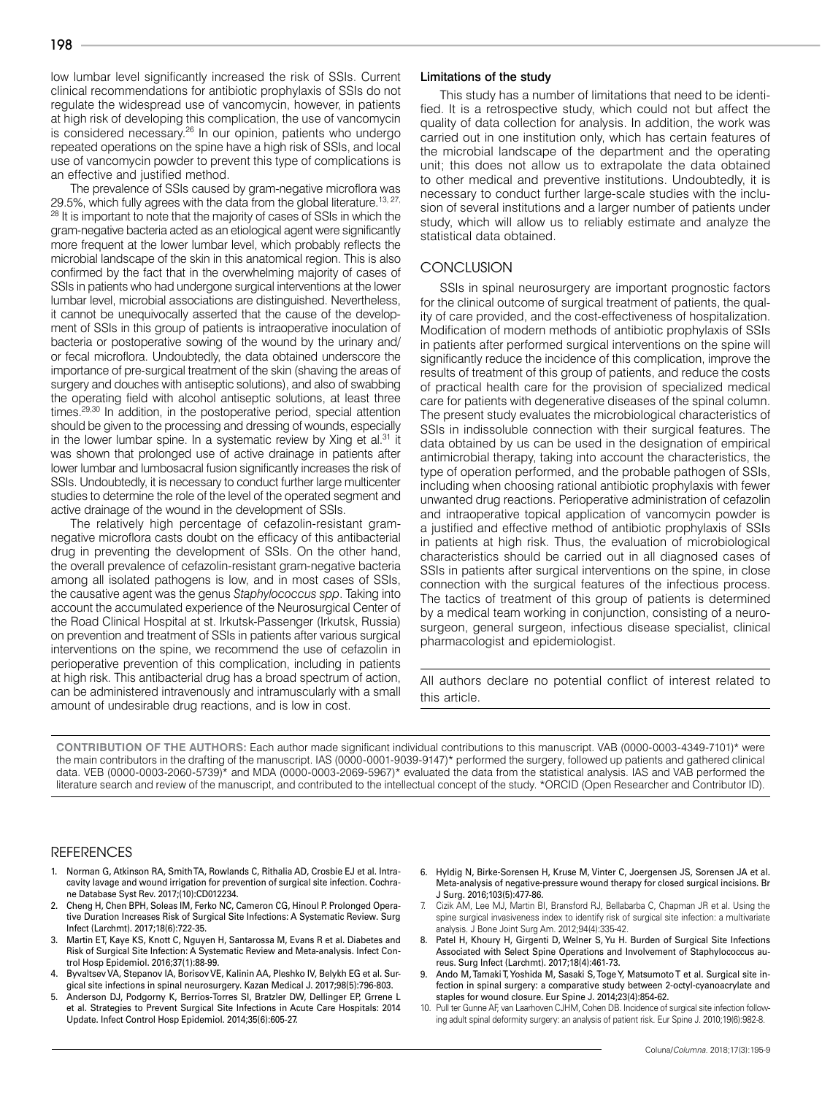low lumbar level significantly increased the risk of SSIs. Current clinical recommendations for antibiotic prophylaxis of SSIs do not regulate the widespread use of vancomycin, however, in patients at high risk of developing this complication, the use of vancomycin is considered necessary.<sup>26</sup> In our opinion, patients who undergo repeated operations on the spine have a high risk of SSIs, and local use of vancomycin powder to prevent this type of complications is an effective and justified method.

The prevalence of SSIs caused by gram-negative microflora was 29.5%, which fully agrees with the data from the global literature.<sup>13, 27,</sup> <sup>28</sup> It is important to note that the majority of cases of SSIs in which the gram-negative bacteria acted as an etiological agent were significantly more frequent at the lower lumbar level, which probably reflects the microbial landscape of the skin in this anatomical region. This is also confirmed by the fact that in the overwhelming majority of cases of SSIs in patients who had undergone surgical interventions at the lower lumbar level, microbial associations are distinguished. Nevertheless, it cannot be unequivocally asserted that the cause of the development of SSIs in this group of patients is intraoperative inoculation of bacteria or postoperative sowing of the wound by the urinary and/ or fecal microflora. Undoubtedly, the data obtained underscore the importance of pre-surgical treatment of the skin (shaving the areas of surgery and douches with antiseptic solutions), and also of swabbing the operating field with alcohol antiseptic solutions, at least three times.29,30 In addition, in the postoperative period, special attention should be given to the processing and dressing of wounds, especially in the lower lumbar spine. In a systematic review by Xing et al.<sup>31</sup> it was shown that prolonged use of active drainage in patients after lower lumbar and lumbosacral fusion significantly increases the risk of SSIs. Undoubtedly, it is necessary to conduct further large multicenter studies to determine the role of the level of the operated segment and active drainage of the wound in the development of SSIs.

The relatively high percentage of cefazolin-resistant gramnegative microflora casts doubt on the efficacy of this antibacterial drug in preventing the development of SSIs. On the other hand, the overall prevalence of cefazolin-resistant gram-negative bacteria among all isolated pathogens is low, and in most cases of SSIs, the causative agent was the genus *Staphylococcus spp*. Taking into account the accumulated experience of the Neurosurgical Center of the Road Clinical Hospital at st. Irkutsk-Passenger (Irkutsk, Russia) on prevention and treatment of SSIs in patients after various surgical interventions on the spine, we recommend the use of cefazolin in perioperative prevention of this complication, including in patients at high risk. This antibacterial drug has a broad spectrum of action, can be administered intravenously and intramuscularly with a small amount of undesirable drug reactions, and is low in cost.

#### Limitations of the study

This study has a number of limitations that need to be identified. It is a retrospective study, which could not but affect the quality of data collection for analysis. In addition, the work was carried out in one institution only, which has certain features of the microbial landscape of the department and the operating unit; this does not allow us to extrapolate the data obtained to other medical and preventive institutions. Undoubtedly, it is necessary to conduct further large-scale studies with the inclusion of several institutions and a larger number of patients under study, which will allow us to reliably estimate and analyze the statistical data obtained.

#### **CONCLUSION**

SSIs in spinal neurosurgery are important prognostic factors for the clinical outcome of surgical treatment of patients, the quality of care provided, and the cost-effectiveness of hospitalization. Modification of modern methods of antibiotic prophylaxis of SSIs in patients after performed surgical interventions on the spine will significantly reduce the incidence of this complication, improve the results of treatment of this group of patients, and reduce the costs of practical health care for the provision of specialized medical care for patients with degenerative diseases of the spinal column. The present study evaluates the microbiological characteristics of SSIs in indissoluble connection with their surgical features. The data obtained by us can be used in the designation of empirical antimicrobial therapy, taking into account the characteristics, the type of operation performed, and the probable pathogen of SSIs, including when choosing rational antibiotic prophylaxis with fewer unwanted drug reactions. Perioperative administration of cefazolin and intraoperative topical application of vancomycin powder is a justified and effective method of antibiotic prophylaxis of SSIs in patients at high risk. Thus, the evaluation of microbiological characteristics should be carried out in all diagnosed cases of SSIs in patients after surgical interventions on the spine, in close connection with the surgical features of the infectious process. The tactics of treatment of this group of patients is determined by a medical team working in conjunction, consisting of a neurosurgeon, general surgeon, infectious disease specialist, clinical pharmacologist and epidemiologist.

All authors declare no potential conflict of interest related to this article.

**CONTRIBUTION OF THE AUTHORS:** Each author made significant individual contributions to this manuscript. VAB (0000-0003-4349-7101)\* were the main contributors in the drafting of the manuscript. IAS (0000-0001-9039-9147)\* performed the surgery, followed up patients and gathered clinical data. VEB (0000-0003-2060-5739)\* and MDA (0000-0003-2069-5967)\* evaluated the data from the statistical analysis. IAS and VAB performed the literature search and review of the manuscript, and contributed to the intellectual concept of the study. \*ORCID (Open Researcher and Contributor ID).

#### **REFERENCES**

- 1. Norman G, Atkinson RA, Smith TA, Rowlands C, Rithalia AD, Crosbie EJ et al. Intracavity lavage and wound irrigation for prevention of surgical site infection. Cochrane Database Syst Rev. 2017;(10):CD012234.
- 2. Cheng H, Chen BPH, Soleas IM, Ferko NC, Cameron CG, Hinoul P. Prolonged Operative Duration Increases Risk of Surgical Site Infections: A Systematic Review. Surg Infect (Larchmt). 2017;18(6):722-35.
- 3. Martin ET, Kaye KS, Knott C, Nguyen H, Santarossa M, Evans R et al. Diabetes and Risk of Surgical Site Infection: A Systematic Review and Meta-analysis. Infect Control Hosp Epidemiol. 2016;37(1):88-99.
- 4. Byvaltsev VA, Stepanov IA, Borisov VE, Kalinin AA, Pleshko IV, Belykh EG et al. Surgical site infections in spinal neurosurgery. Kazan Medical J. 2017;98(5):796-803.
- 5. Anderson DJ, Podgorny K, Berríos-Torres SI, Bratzler DW, Dellinger EP, Grrene L et al. Strategies to Prevent Surgical Site Infections in Acute Care Hospitals: 2014 Update. Infect Control Hosp Epidemiol. 2014;35(6):605-27.
- 6. Hyldig N, Birke-Sorensen H, Kruse M, Vinter C, Joergensen JS, Sorensen JA et al. Meta-analysis of negative-pressure wound therapy for closed surgical incisions. Br J Surg. 2016;103(5):477-86.
- 7. Cizik AM, Lee MJ, Martin BI, Bransford RJ, Bellabarba C, Chapman JR et al. Using the spine surgical invasiveness index to identify risk of surgical site infection: a multivariate analysis. J Bone Joint Surg Am. 2012;94(4):335-42.
- 8. Patel H, Khoury H, Girgenti D, Welner S, Yu H. Burden of Surgical Site Infections Associated with Select Spine Operations and Involvement of Staphylococcus aureus. Surg Infect (Larchmt). 2017;18(4):461-73.
- Ando M, Tamaki T, Yoshida M, Sasaki S, Toge Y, Matsumoto T et al. Surgical site infection in spinal surgery: a comparative study between 2-octyl-cyanoacrylate and staples for wound closure. Eur Spine J. 2014;23(4):854-62.
- 10. Pull ter Gunne AF, van Laarhoven CJHM, Cohen DB. Incidence of surgical site infection following adult spinal deformity surgery: an analysis of patient risk. Eur Spine J. 2010;19(6):982-8.